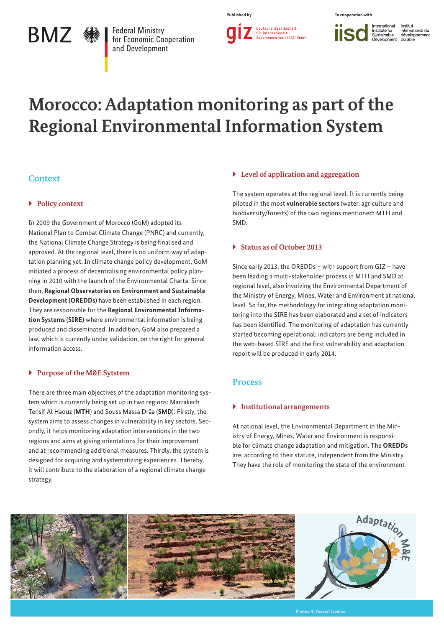# **BMZ 豢**

**Federal Ministry** for Economic Cooperation and Development

**Published by In cooperation with**

International<br>Institute for<br>Sustainable Institut **iisc** international du<br>développement<br>durable

# **Morocco: Adaptation monitoring as part of the Regional Environmental Information System**

# **Context**

## ▶ **Policy context**

In 2009 the Government of Morocco (GoM) adopted its National Plan to Combat Climate Change (PNRC) and currently, the National Climate Change Strategy is being finalised and approved. At the regional level, there is no uniform way of adaptation planning yet. In climate change policy development, GoM initiated a process of decentralising environmental policy planning in 2010 with the launch of the Environmental Charta. Since then, **Regional Observatories on Environment and Sustainable Development (OREDDs)** have been established in each region. They are responsible for the **Regional Environmental Information Systems (SIRE)** where environmental information is being produced and disseminated. In addition, GoM also prepared a law, which is currently under validation, on the right for general information access.

## ` **Purpose of the M&E Sytstem**

There are three main objectives of the adaptation monitoring system which is currently being set up in two regions: Marrakech Tensif Al Haouz (**MTH**) and Souss Massa Drâa (**SMD**): Firstly, the system aims to assess changes in vulnerability in key sectors. Secondly, it helps monitoring adaptation interventions in the two regions and aims at giving orientations for their improvement and at recommending additional measures. Thirdly, the system is designed for acquiring and systematizing experiences. Thereby, it will contribute to the elaboration of a regional climate change strategy.

## ` **Level of application and aggregation**

The system operates at the regional level. It is currently being piloted in the most **vulnerable sectors** (water, agriculture and biodiversity/forests) of the two regions mentioned: MTH and SMD.

## ` **Status as of October 2013**

Since early 2013, the OREDDs – with support from GIZ – have been leading a multi-stakeholder process in MTH and SMD at regional level, also involving the Environmental Department of the Ministry of Energy, Mines, Water and Environment at national level. So far, the methodology for integrating adaptation monitoring into the SIRE has been elaborated and a set of indicators has been identified. The monitoring of adaptation has currently started becoming operational: indicators are being included in the web-based SIRE and the first vulnerability and adaptation report will be produced in early 2014.

## **Process**

## ` **Institutional arrangements**

At national level, the Environmental Department in the Ministry of Energy, Mines, Water and Environment is responsible for climate change adaptation and mitigation. The **OREDDs**  are, according to their statute, independent from the Ministry. They have the role of monitoring the state of the environment

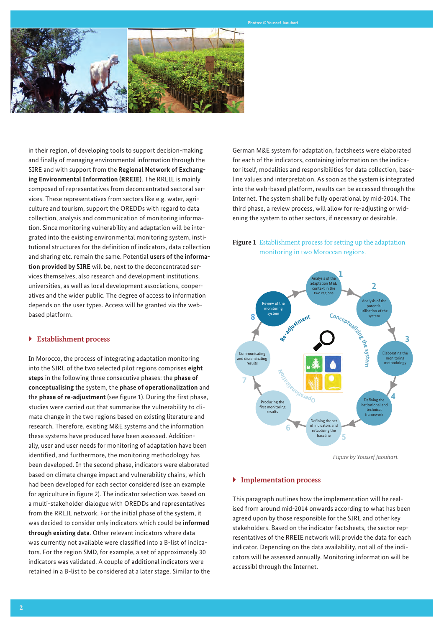

in their region, of developing tools to support decision-making and finally of managing environmental information through the SIRE and with support from the **Regional Network of Exchanging Environmental Information (RREIE)**. The RREIE is mainly composed of representatives from deconcentrated sectoral services. These representatives from sectors like e.g. water, agriculture and tourism, support the OREDDs with regard to data collection, analysis and communication of monitoring information. Since monitoring vulnerability and adaptation will be integrated into the existing environmental monitoring system, institutional structures for the definition of indicators, data collection and sharing etc. remain the same. Potential **users of the information provided by SIRE** will be, next to the deconcentrated services themselves, also research and development institutions, universities, as well as local development associations, cooperatives and the wider public. The degree of access to information depends on the user types. Access will be granted via the webbased platform.

#### ` **Establishment process**

In Morocco, the process of integrating adaptation monitoring into the SIRE of the two selected pilot regions comprises **eight steps** in the following three consecutive phases: the **phase of conceptualising** the system, the **phase of operationalization** and the **phase of re-adjustment** (see figure 1). During the first phase, studies were carried out that summarise the vulnerability to climate change in the two regions based on existing literature and research. Therefore, existing M&E systems and the information these systems have produced have been assessed. Additionally, user and user needs for monitoring of adaptation have been identified, and furthermore, the monitoring methodology has been developed. In the second phase, indicators were elaborated based on climate change impact and vulnerability chains, which had been developed for each sector considered (see an example for agriculture in figure 2). The indicator selection was based on a multi-stakeholder dialogue with OREDDs and representatives from the RREIE network. For the initial phase of the system, it was decided to consider only indicators which could be **informed through existing data**. Other relevant indicators where data was currently not available were classified into a B-list of indicators. For the region SMD, for example, a set of approximately 30 indicators was validated. A couple of additional indicators were retained in a B-list to be considered at a later stage. Similar to the German M&E system for adaptation, factsheets were elaborated for each of the indicators, containing information on the indicator itself, modalities and responsibilities for data collection, baseline values and interpretation. As soon as the system is integrated into the web-based platform, results can be accessed through the Internet. The system shall be fully operational by mid-2014. The third phase, a review process, will allow for re-adjusting or widening the system to other sectors, if necessary or desirable.

# **Figure 1** Establishment process for setting up the adaptation monitoring in two Moroccan regions.



*Figure by Youssef Jaouhari.*

#### ` **Implementation process**

This paragraph outlines how the implementation will be realised from around mid-2014 onwards according to what has been agreed upon by those responsible for the SIRE and other key stakeholders. Based on the indicator factsheets, the sector representatives of the RREIE network will provide the data for each indicator. Depending on the data availability, not all of the indicators will be assessed annually. Monitoring information will be accessibl through the Internet.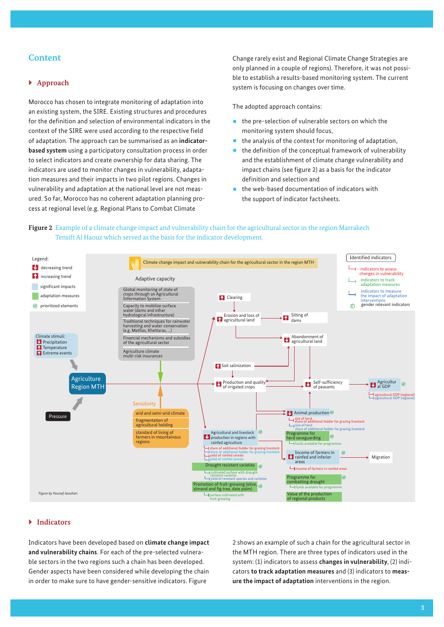# **Content**

#### ` **Approach**

Morocco has chosen to integrate monitoring of adaptation into an existing system, the SIRE. Existing structures and procedures for the definition and selection of environmental indicators in the context of the SIRE were used according to the respective field of adaptation. The approach can be summarised as an **indicatorbased system** using a participatory consultation process in order to select indicators and create ownership for data sharing. The indicators are used to monitor changes in vulnerability, adaptation measures and their impacts in two pilot regions. Changes in vulnerability and adaptation at the national level are not measured. So far, Morocco has no coherent adaptation planning process at regional level (e.g. Regional Plans to Combat Climate

Change rarely exist and Regional Climate Change Strategies are only planned in a couple of regions). Therefore, it was not possible to establish a results-based monitoring system. The current system is focusing on changes over time.

The adopted approach contains:

- $\blacksquare$  the pre-selection of vulnerable sectors on which the monitoring system should focus,
- $\blacksquare$  the analysis of the context for monitoring of adaptation,
- the definition of the conceptual framework of vulnerability and the establishment of climate change vulnerability and impact chains (see figure 2) as a basis for the indicator definition and selection and
- the web-based documentation of indicators with the support of indicator factsheets.



# **Figure 2** Example of a climate change impact and vulnerability chain for the agricultural sector in the region Marrakech Tensift Al Haouz which served as the basis for the indicator development.

#### ` **Indicators**

Indicators have been developed based on **climate change impact and vulnerability chains**. For each of the pre-selected vulnerable sectors in the two regions such a chain has been developed. Gender aspects have been considered while developing the chain in order to make sure to have gender-sensitive indicators. Figure

2 shows an example of such a chain for the agricultural sector in the MTH region. There are three types of indicators used in the system: (1) indicators to assess **changes in vulnerability**, (2) indicators **to track adaptation measures** and (3) indicators to **measure the impact of adaptation** interventions in the region.